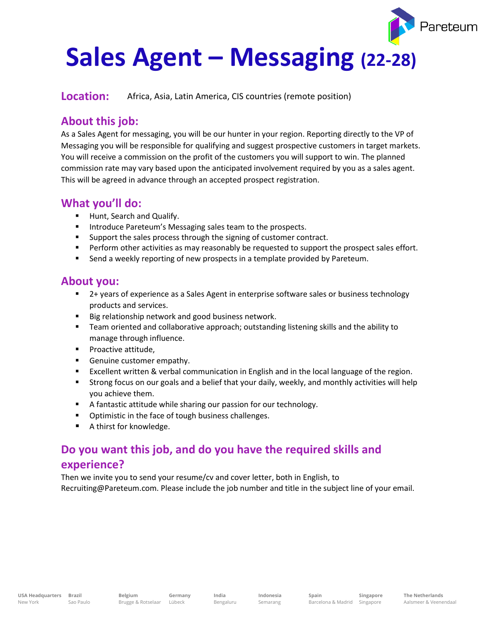# **Sales Agent – Messaging (22-28)**

#### **Location:** Africa, Asia, Latin America, CIS countries (remote position)

#### **About this job:**

As a Sales Agent for messaging, you will be our hunter in your region. Reporting directly to the VP of Messaging you will be responsible for qualifying and suggest prospective customers in target markets. You will receive a commission on the profit of the customers you will support to win. The planned commission rate may vary based upon the anticipated involvement required by you as a sales agent. This will be agreed in advance through an accepted prospect registration.

#### **What you'll do:**

- **■** Hunt, Search and Qualify.
- Introduce Pareteum's Messaging sales team to the prospects.
- Support the sales process through the signing of customer contract.
- **•** Perform other activities as may reasonably be requested to support the prospect sales effort.
- Send a weekly reporting of new prospects in a template provided by Pareteum.

#### **About you:**

- 2+ years of experience as a Sales Agent in enterprise software sales or business technology products and services.
- Big relationship network and good business network.
- Team oriented and collaborative approach; outstanding listening skills and the ability to manage through influence.
- Proactive attitude.
- Genuine customer empathy.
- Excellent written & verbal communication in English and in the local language of the region.
- **EXT** Strong focus on our goals and a belief that your daily, weekly, and monthly activities will help you achieve them.
- A fantastic attitude while sharing our passion for our technology.
- Optimistic in the face of tough business challenges.
- A thirst for knowledge.

## **Do you want this job, and do you have the required skills and experience?**

Then we invite you to send your resume/cv and cover letter, both in English, to Recruiting@Pareteum.com. Please include the job number and title in the subject line of your email. <sup>o</sup>areteum